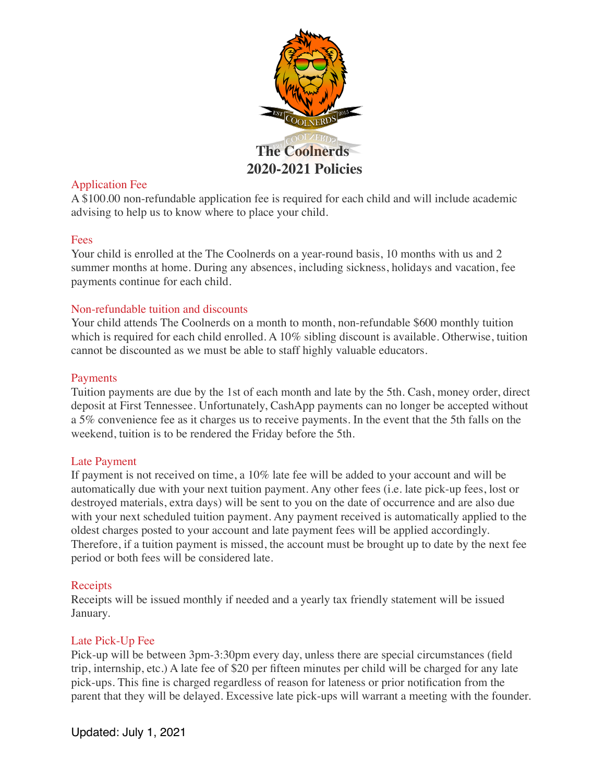

# Application Fee

A \$100.00 non-refundable application fee is required for each child and will include academic advising to help us to know where to place your child.

## Fees

Your child is enrolled at the The Coolnerds on a year-round basis, 10 months with us and 2 summer months at home. During any absences, including sickness, holidays and vacation, fee payments continue for each child.

# Non-refundable tuition and discounts

Your child attends The Coolnerds on a month to month, non-refundable \$600 monthly tuition which is required for each child enrolled. A 10% sibling discount is available. Otherwise, tuition cannot be discounted as we must be able to staff highly valuable educators.

# Payments

Tuition payments are due by the 1st of each month and late by the 5th. Cash, money order, direct deposit at First Tennessee. Unfortunately, CashApp payments can no longer be accepted without a 5% convenience fee as it charges us to receive payments. In the event that the 5th falls on the weekend, tuition is to be rendered the Friday before the 5th.

## Late Payment

If payment is not received on time, a 10% late fee will be added to your account and will be automatically due with your next tuition payment. Any other fees (i.e. late pick-up fees, lost or destroyed materials, extra days) will be sent to you on the date of occurrence and are also due with your next scheduled tuition payment. Any payment received is automatically applied to the oldest charges posted to your account and late payment fees will be applied accordingly. Therefore, if a tuition payment is missed, the account must be brought up to date by the next fee period or both fees will be considered late.

# Receipts

Receipts will be issued monthly if needed and a yearly tax friendly statement will be issued January.

# Late Pick-Up Fee

Pick-up will be between 3pm-3:30pm every day, unless there are special circumstances (field trip, internship, etc.) A late fee of \$20 per fifteen minutes per child will be charged for any late pick-ups. This fine is charged regardless of reason for lateness or prior notification from the parent that they will be delayed. Excessive late pick-ups will warrant a meeting with the founder.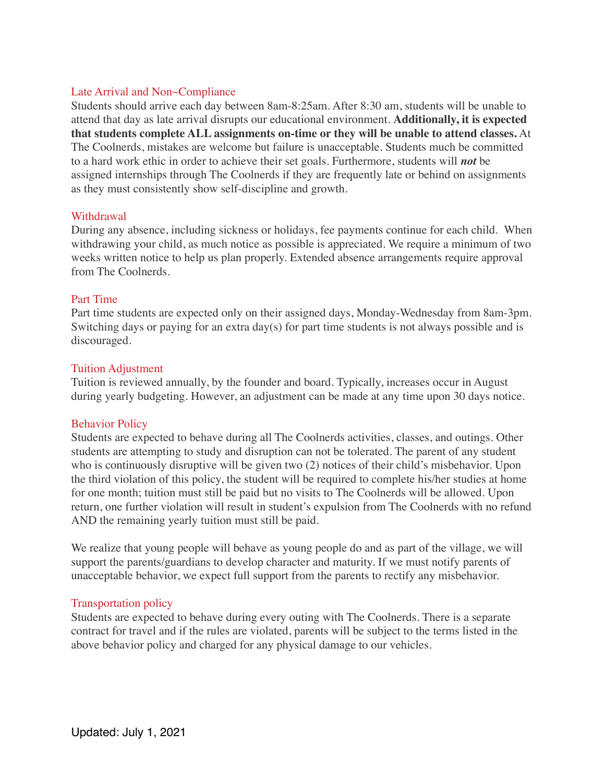## Late Arrival and Non~Compliance

Students should arrive each day between 8am-8:25am. After 8:30 am, students will be unable to attend that day as late arrival disrupts our educational environment. **Additionally, it is expected that students complete ALL assignments on-time or they will be unable to attend classes.** At The Coolnerds, mistakes are welcome but failure is unacceptable. Students much be committed to a hard work ethic in order to achieve their set goals. Furthermore, students will *not* be assigned internships through The Coolnerds if they are frequently late or behind on assignments as they must consistently show self-discipline and growth.

#### Withdrawal

During any absence, including sickness or holidays, fee payments continue for each child. When withdrawing your child, as much notice as possible is appreciated. We require a minimum of two weeks written notice to help us plan properly. Extended absence arrangements require approval from The Coolnerds.

## Part Time

Part time students are expected only on their assigned days, Monday-Wednesday from 8am-3pm. Switching days or paying for an extra day(s) for part time students is not always possible and is discouraged.

#### Tuition Adjustment

Tuition is reviewed annually, by the founder and board. Typically, increases occur in August during yearly budgeting. However, an adjustment can be made at any time upon 30 days notice.

## Behavior Policy

Students are expected to behave during all The Coolnerds activities, classes, and outings. Other students are attempting to study and disruption can not be tolerated. The parent of any student who is continuously disruptive will be given two (2) notices of their child's misbehavior. Upon the third violation of this policy, the student will be required to complete his/her studies at home for one month; tuition must still be paid but no visits to The Coolnerds will be allowed. Upon return, one further violation will result in student's expulsion from The Coolnerds with no refund AND the remaining yearly tuition must still be paid.

We realize that young people will behave as young people do and as part of the village, we will support the parents/guardians to develop character and maturity. If we must notify parents of unacceptable behavior, we expect full support from the parents to rectify any misbehavior.

## Transportation policy

Students are expected to behave during every outing with The Coolnerds. There is a separate contract for travel and if the rules are violated, parents will be subject to the terms listed in the above behavior policy and charged for any physical damage to our vehicles.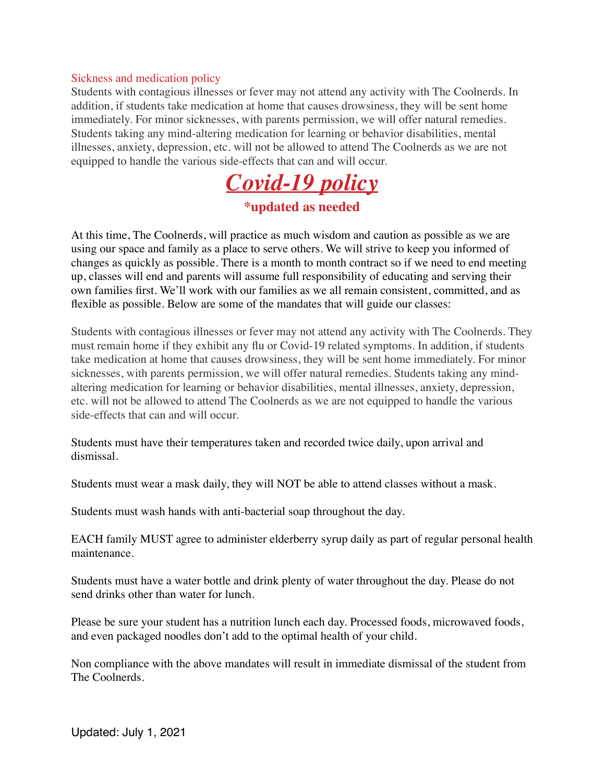#### Sickness and medication policy

Students with contagious illnesses or fever may not attend any activity with The Coolnerds. In addition, if students take medication at home that causes drowsiness, they will be sent home immediately. For minor sicknesses, with parents permission, we will offer natural remedies. Students taking any mind-altering medication for learning or behavior disabilities, mental illnesses, anxiety, depression, etc. will not be allowed to attend The Coolnerds as we are not equipped to handle the various side-effects that can and will occur.



At this time, The Coolnerds, will practice as much wisdom and caution as possible as we are using our space and family as a place to serve others. We will strive to keep you informed of changes as quickly as possible. There is a month to month contract so if we need to end meeting up, classes will end and parents will assume full responsibility of educating and serving their own families first. We'll work with our families as we all remain consistent, committed, and as flexible as possible. Below are some of the mandates that will guide our classes:

Students with contagious illnesses or fever may not attend any activity with The Coolnerds. They must remain home if they exhibit any flu or Covid-19 related symptoms. In addition, if students take medication at home that causes drowsiness, they will be sent home immediately. For minor sicknesses, with parents permission, we will offer natural remedies. Students taking any mindaltering medication for learning or behavior disabilities, mental illnesses, anxiety, depression, etc. will not be allowed to attend The Coolnerds as we are not equipped to handle the various side-effects that can and will occur.

Students must have their temperatures taken and recorded twice daily, upon arrival and dismissal.

Students must wear a mask daily, they will NOT be able to attend classes without a mask.

Students must wash hands with anti-bacterial soap throughout the day.

EACH family MUST agree to administer elderberry syrup daily as part of regular personal health maintenance.

Students must have a water bottle and drink plenty of water throughout the day. Please do not send drinks other than water for lunch.

Please be sure your student has a nutrition lunch each day. Processed foods, microwaved foods, and even packaged noodles don't add to the optimal health of your child.

Non compliance with the above mandates will result in immediate dismissal of the student from The Coolnerds.